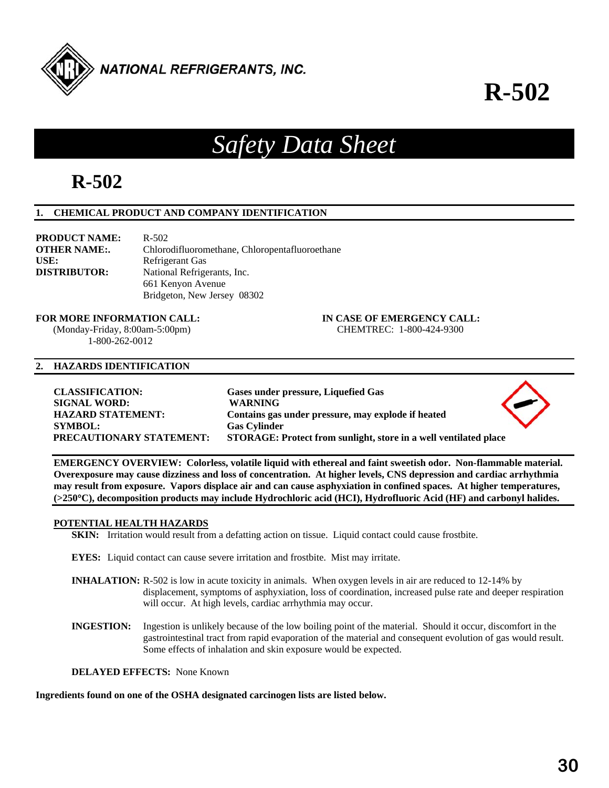

**R-502**

# *Safety Data Sheet*

## **R-502**

## **1. CHEMICAL PRODUCT AND COMPANY IDENTIFICATION**

| <b>PRODUCT NAME:</b> | $R - 502$                                      |
|----------------------|------------------------------------------------|
| <b>OTHER NAME:.</b>  | Chlorodifluoromethane, Chloropentafluoroethane |
| USE:                 | Refrigerant Gas                                |
| <b>DISTRIBUTOR:</b>  | National Refrigerants, Inc.                    |
|                      | 661 Kenyon Avenue                              |
|                      | Bridgeton, New Jersey 08302                    |

#### **FOR MORE INFORMATION CALL: IN CASE OF EMERGENCY CALL:**  (Monday-Friday, 8:00am-5:00pm) CHEMTREC: 1-800-424-9300

1-800-262-0012

### **2. HAZARDS IDENTIFICATION**

| <b>CLASSIFICATION:</b>          | Gases under pressure, Liquefied Gas                              |
|---------------------------------|------------------------------------------------------------------|
| <b>SIGNAL WORD:</b>             | <b>WARNING</b>                                                   |
| <b>HAZARD STATEMENT:</b>        | Contains gas under pressure, may explode if heated               |
| <b>SYMBOL:</b>                  | <b>Gas Cylinder</b>                                              |
| <b>PRECAUTIONARY STATEMENT:</b> | STORAGE: Protect from sunlight, store in a well ventilated place |

**EMERGENCY OVERVIEW: Colorless, volatile liquid with ethereal and faint sweetish odor. Non-flammable material. Overexposure may cause dizziness and loss of concentration. At higher levels, CNS depression and cardiac arrhythmia may result from exposure. Vapors displace air and can cause asphyxiation in confined spaces. At higher temperatures, (>250C), decomposition products may include Hydrochloric acid (HCI), Hydrofluoric Acid (HF) and carbonyl halides.** 

#### **POTENTIAL HEALTH HAZARDS**

**SKIN:** Irritation would result from a defatting action on tissue. Liquid contact could cause frostbite.

**EYES:** Liquid contact can cause severe irritation and frostbite. Mist may irritate.

- **INHALATION:** R-502 is low in acute toxicity in animals. When oxygen levels in air are reduced to 12-14% by displacement, symptoms of asphyxiation, loss of coordination, increased pulse rate and deeper respiration will occur. At high levels, cardiac arrhythmia may occur.
- **INGESTION:** Ingestion is unlikely because of the low boiling point of the material. Should it occur, discomfort in the gastrointestinal tract from rapid evaporation of the material and consequent evolution of gas would result. Some effects of inhalation and skin exposure would be expected.

**DELAYED EFFECTS:** None Known

**Ingredients found on one of the OSHA designated carcinogen lists are listed below.**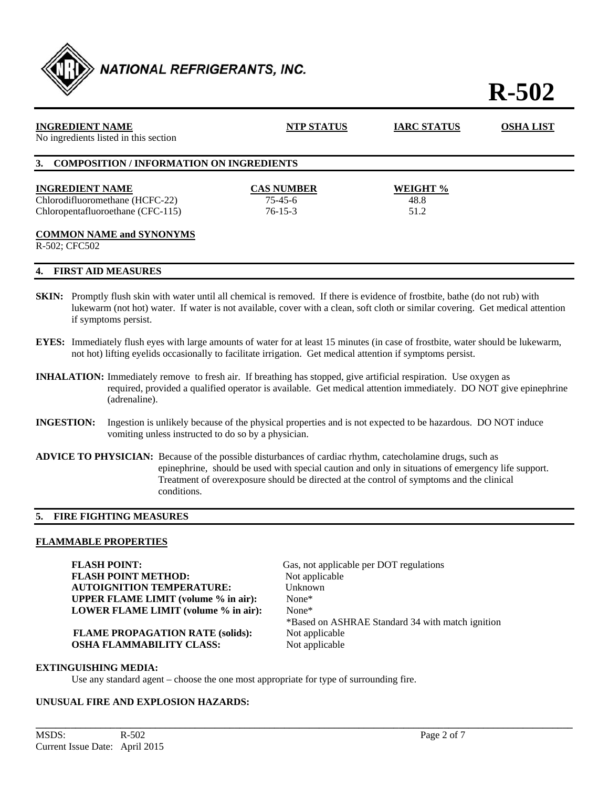

## **R-502**

| <b>INGREDIENT NAME</b><br>No ingredients listed in this section | <b>NTP STATUS</b> | <b>IARC STATUS</b> | <b>OSHA LIST</b> |
|-----------------------------------------------------------------|-------------------|--------------------|------------------|
| 3. COMPOSITION / INFORMATION ON INGREDIENTS                     |                   |                    |                  |
| <b>INGREDIENT NAME</b>                                          | <b>CAS NUMBER</b> | WEIGHT %           |                  |
| Chlorodifluoromethane (HCFC-22)                                 | $75 - 45 - 6$     | 48.8               |                  |
| Chloropentafluoroethane (CFC-115)                               | $76 - 15 - 3$     | 51.2               |                  |
| <b>COMMON NAME and SYNONYMS</b>                                 |                   |                    |                  |
| R-502: CFC502                                                   |                   |                    |                  |
| <b>FIRST AID MEASURES</b><br>4.                                 |                   |                    |                  |

- **SKIN:** Promptly flush skin with water until all chemical is removed. If there is evidence of frostbite, bathe (do not rub) with lukewarm (not hot) water. If water is not available, cover with a clean, soft cloth or similar covering. Get medical attention if symptoms persist.
- **EYES:** Immediately flush eyes with large amounts of water for at least 15 minutes (in case of frostbite, water should be lukewarm, not hot) lifting eyelids occasionally to facilitate irrigation. Get medical attention if symptoms persist.
- **INHALATION:** Immediately remove to fresh air. If breathing has stopped, give artificial respiration. Use oxygen as required, provided a qualified operator is available. Get medical attention immediately. DO NOT give epinephrine (adrenaline).
- **INGESTION:** Ingestion is unlikely because of the physical properties and is not expected to be hazardous. DO NOT induce vomiting unless instructed to do so by a physician.
- **ADVICE TO PHYSICIAN:** Because of the possible disturbances of cardiac rhythm, catecholamine drugs, such as epinephrine, should be used with special caution and only in situations of emergency life support. Treatment of overexposure should be directed at the control of symptoms and the clinical conditions.

**\_\_\_\_\_\_\_\_\_\_\_\_\_\_\_\_\_\_\_\_\_\_\_\_\_\_\_\_\_\_\_\_\_\_\_\_\_\_\_\_\_\_\_\_\_\_\_\_\_\_\_\_\_\_\_\_\_\_\_\_\_\_\_\_\_\_\_\_\_\_\_\_\_\_\_\_\_\_\_\_\_\_\_\_\_\_\_\_\_\_\_\_\_\_\_\_\_\_\_\_\_\_\_\_\_\_\_\_** 

#### **5. FIRE FIGHTING MEASURES**

#### **FLAMMABLE PROPERTIES**

**FLASH POINT:** Gas, not applicable per DOT regulations **FLASH POINT METHOD:** Not applicable<br> **AUTOIGNITION TEMPERATURE:** Unknown **AUTOIGNITION TEMPERATURE: UPPER FLAME LIMIT (volume % in air):** None\* **LOWER FLAME LIMIT (volume % in air):** None\*

**FLAME PROPAGATION RATE (solids):** Not applicable **OSHA FLAMMABILITY CLASS:** Not applicable

\*Based on ASHRAE Standard 34 with match ignition

#### **EXTINGUISHING MEDIA:**

Use any standard agent – choose the one most appropriate for type of surrounding fire.

#### **UNUSUAL FIRE AND EXPLOSION HAZARDS:**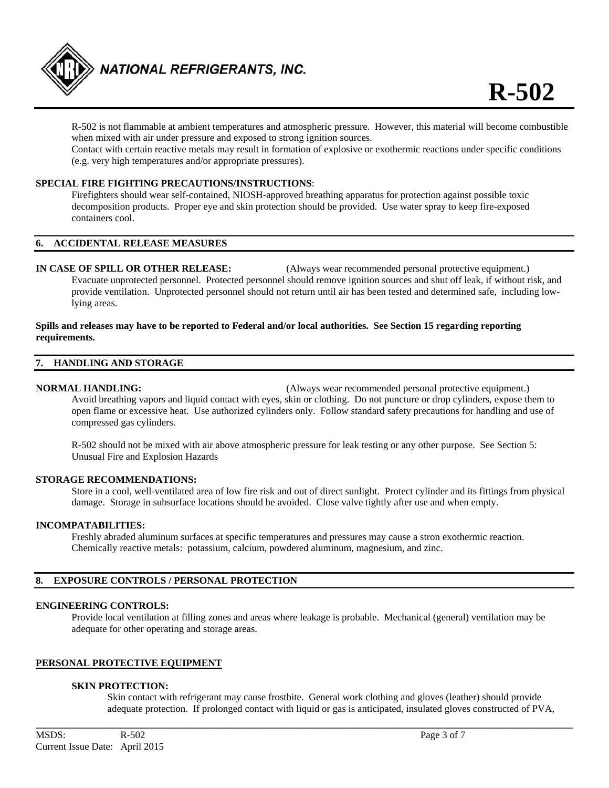

 R-502 is not flammable at ambient temperatures and atmospheric pressure. However, this material will become combustible when mixed with air under pressure and exposed to strong ignition sources.

Contact with certain reactive metals may result in formation of explosive or exothermic reactions under specific conditions (e.g. very high temperatures and/or appropriate pressures).

#### **SPECIAL FIRE FIGHTING PRECAUTIONS/INSTRUCTIONS**:

 Firefighters should wear self-contained, NIOSH-approved breathing apparatus for protection against possible toxic decomposition products. Proper eye and skin protection should be provided. Use water spray to keep fire-exposed containers cool.

#### **6. ACCIDENTAL RELEASE MEASURES**

**IN CASE OF SPILL OR OTHER RELEASE:** (Always wear recommended personal protective equipment.) Evacuate unprotected personnel. Protected personnel should remove ignition sources and shut off leak, if without risk, and provide ventilation. Unprotected personnel should not return until air has been tested and determined safe, including low lying areas.

#### **Spills and releases may have to be reported to Federal and/or local authorities. See Section 15 regarding reporting requirements.**

#### **7. HANDLING AND STORAGE**

**NORMAL HANDLING:** (Always wear recommended personal protective equipment.) Avoid breathing vapors and liquid contact with eyes, skin or clothing. Do not puncture or drop cylinders, expose them to open flame or excessive heat. Use authorized cylinders only. Follow standard safety precautions for handling and use of compressed gas cylinders.

 R-502 should not be mixed with air above atmospheric pressure for leak testing or any other purpose. See Section 5: Unusual Fire and Explosion Hazards

#### **STORAGE RECOMMENDATIONS:**

 Store in a cool, well-ventilated area of low fire risk and out of direct sunlight. Protect cylinder and its fittings from physical damage. Storage in subsurface locations should be avoided. Close valve tightly after use and when empty.

#### **INCOMPATABILITIES:**

Freshly abraded aluminum surfaces at specific temperatures and pressures may cause a stron exothermic reaction. Chemically reactive metals: potassium, calcium, powdered aluminum, magnesium, and zinc.

#### **8. EXPOSURE CONTROLS / PERSONAL PROTECTION**

#### **ENGINEERING CONTROLS:**

 Provide local ventilation at filling zones and areas where leakage is probable. Mechanical (general) ventilation may be adequate for other operating and storage areas.

**\_\_\_\_\_\_\_\_\_\_\_\_\_\_\_\_\_\_\_\_\_\_\_\_\_\_\_\_\_\_\_\_\_\_\_\_\_\_\_\_\_\_\_\_\_\_\_\_\_\_\_\_\_\_\_\_\_\_\_\_\_\_\_\_\_\_\_\_\_\_\_\_\_\_\_\_\_\_\_\_\_\_\_\_\_\_\_\_\_\_\_\_\_\_\_\_\_\_\_\_\_\_\_\_\_\_\_\_** 

#### **PERSONAL PROTECTIVE EQUIPMENT**

#### **SKIN PROTECTION:**

 Skin contact with refrigerant may cause frostbite. General work clothing and gloves (leather) should provide adequate protection. If prolonged contact with liquid or gas is anticipated, insulated gloves constructed of PVA,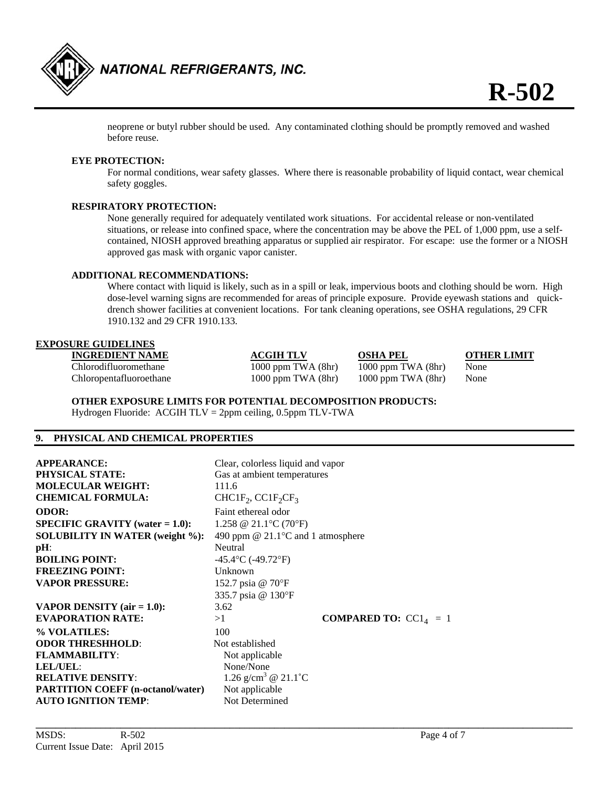

 neoprene or butyl rubber should be used. Any contaminated clothing should be promptly removed and washed before reuse.

#### **EYE PROTECTION:**

For normal conditions, wear safety glasses. Where there is reasonable probability of liquid contact, wear chemical safety goggles.

#### **RESPIRATORY PROTECTION:**

 None generally required for adequately ventilated work situations. For accidental release or non-ventilated situations, or release into confined space, where the concentration may be above the PEL of 1,000 ppm, use a self contained, NIOSH approved breathing apparatus or supplied air respirator. For escape: use the former or a NIOSH approved gas mask with organic vapor canister.

#### **ADDITIONAL RECOMMENDATIONS:**

Where contact with liquid is likely, such as in a spill or leak, impervious boots and clothing should be worn. High dose-level warning signs are recommended for areas of principle exposure. Provide eyewash stations and quick drench shower facilities at convenient locations. For tank cleaning operations, see OSHA regulations, 29 CFR 1910.132 and 29 CFR 1910.133.

#### **EXPOSURE GUIDELINES**

| <b>INGREDIENT NAME</b>  | <b>ACGIH TLV</b>       | <b>OSHA PEL</b>         | <b>OTHER LIMIT</b> |
|-------------------------|------------------------|-------------------------|--------------------|
| Chlorodifluoromethane   | $1000$ ppm TWA $(8hr)$ | $1000$ ppm TWA $(8hr)$  | None               |
| Chloropentafluoroethane | $1000$ ppm TWA $(8hr)$ | 1000 ppm TWA (8hr) None |                    |

**OTHER EXPOSURE LIMITS FOR POTENTIAL DECOMPOSITION PRODUCTS:** 

Hydrogen Fluoride: ACGIH TLV = 2ppm ceiling, 0.5ppm TLV-TWA

#### **9. PHYSICAL AND CHEMICAL PROPERTIES**

| <b>APPEARANCE:</b><br><b>PHYSICAL STATE:</b><br><b>MOLECULAR WEIGHT:</b><br><b>CHEMICAL FORMULA:</b> | Clear, colorless liquid and vapor<br>Gas at ambient temperatures<br>111.6<br>$CHCIF2, CCIF2CF3$ |                                |
|------------------------------------------------------------------------------------------------------|-------------------------------------------------------------------------------------------------|--------------------------------|
| <b>ODOR:</b>                                                                                         | Faint ethereal odor                                                                             |                                |
| <b>SPECIFIC GRAVITY</b> (water $= 1.0$ ):                                                            | 1.258 @ 21.1 °C (70 °F)                                                                         |                                |
| <b>SOLUBILITY IN WATER (weight %):</b>                                                               | 490 ppm @ $21.1$ °C and 1 atmosphere                                                            |                                |
| $pH$ :                                                                                               | Neutral                                                                                         |                                |
| <b>BOILING POINT:</b>                                                                                | $-45.4$ °C (-49.72°F)                                                                           |                                |
| <b>FREEZING POINT:</b>                                                                               | Unknown                                                                                         |                                |
| <b>VAPOR PRESSURE:</b>                                                                               | 152.7 psia @ 70°F                                                                               |                                |
|                                                                                                      | 335.7 psia @ 130°F                                                                              |                                |
| VAPOR DENSITY (air $= 1.0$ ):                                                                        | 3.62                                                                                            |                                |
| <b>EVAPORATION RATE:</b>                                                                             | >1                                                                                              | <b>COMPARED TO:</b> $CC14 = 1$ |
| % VOLATILES:                                                                                         | 100                                                                                             |                                |
| <b>ODOR THRESHHOLD:</b>                                                                              | Not established                                                                                 |                                |
| <b>FLAMMABILITY:</b>                                                                                 | Not applicable                                                                                  |                                |
| <b>LEL/UEL:</b>                                                                                      | None/None                                                                                       |                                |
| <b>RELATIVE DENSITY:</b>                                                                             | 1.26 g/cm <sup>3</sup> @ 21.1°C                                                                 |                                |
| <b>PARTITION COEFF (n-octanol/water)</b>                                                             | Not applicable                                                                                  |                                |
| <b>AUTO IGNITION TEMP:</b>                                                                           | Not Determined                                                                                  |                                |

**\_\_\_\_\_\_\_\_\_\_\_\_\_\_\_\_\_\_\_\_\_\_\_\_\_\_\_\_\_\_\_\_\_\_\_\_\_\_\_\_\_\_\_\_\_\_\_\_\_\_\_\_\_\_\_\_\_\_\_\_\_\_\_\_\_\_\_\_\_\_\_\_\_\_\_\_\_\_\_\_\_\_\_\_\_\_\_\_\_\_\_\_\_\_\_\_\_\_\_\_\_\_\_\_\_\_\_\_**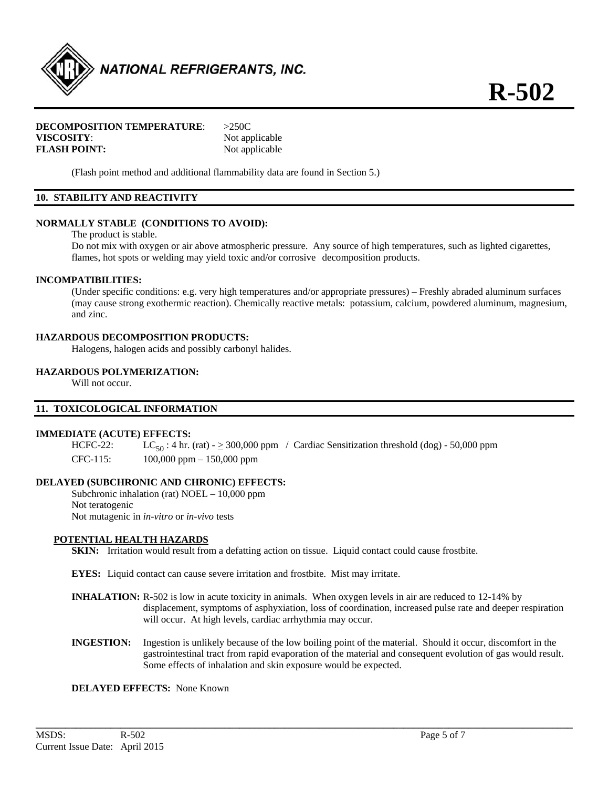

#### **DECOMPOSITION TEMPERATURE**: >250C **VISCOSITY:** Not applicable **FLASH POINT:** Not applicable

(Flash point method and additional flammability data are found in Section 5.)

### **10. STABILITY AND REACTIVITY**

#### **NORMALLY STABLE (CONDITIONS TO AVOID):**

The product is stable.

Do not mix with oxygen or air above atmospheric pressure. Any source of high temperatures, such as lighted cigarettes, flames, hot spots or welding may yield toxic and/or corrosive decomposition products.

#### **INCOMPATIBILITIES:**

 (Under specific conditions: e.g. very high temperatures and/or appropriate pressures) – Freshly abraded aluminum surfaces (may cause strong exothermic reaction). Chemically reactive metals: potassium, calcium, powdered aluminum, magnesium, and zinc.

#### **HAZARDOUS DECOMPOSITION PRODUCTS:**

Halogens, halogen acids and possibly carbonyl halides.

#### **HAZARDOUS POLYMERIZATION:**

Will not occur.

#### **11. TOXICOLOGICAL INFORMATION**

#### **IMMEDIATE (ACUTE) EFFECTS:**

HCFC-22: LC<sub>50</sub>: 4 hr. (rat)  $- \geq 300,000$  ppm / Cardiac Sensitization threshold (dog) - 50,000 ppm CFC-115: 100,000 ppm – 150,000 ppm

#### **DELAYED (SUBCHRONIC AND CHRONIC) EFFECTS:**

Subchronic inhalation (rat) NOEL – 10,000 ppm Not teratogenic Not mutagenic in *in-vitro* or *in-vivo* tests

#### **POTENTIAL HEALTH HAZARDS**

**SKIN:** Irritation would result from a defatting action on tissue. Liquid contact could cause frostbite.

- **EYES:** Liquid contact can cause severe irritation and frostbite. Mist may irritate.
- **INHALATION:** R-502 is low in acute toxicity in animals. When oxygen levels in air are reduced to 12-14% by displacement, symptoms of asphyxiation, loss of coordination, increased pulse rate and deeper respiration will occur. At high levels, cardiac arrhythmia may occur.
- **INGESTION:** Ingestion is unlikely because of the low boiling point of the material. Should it occur, discomfort in the gastrointestinal tract from rapid evaporation of the material and consequent evolution of gas would result. Some effects of inhalation and skin exposure would be expected.

**\_\_\_\_\_\_\_\_\_\_\_\_\_\_\_\_\_\_\_\_\_\_\_\_\_\_\_\_\_\_\_\_\_\_\_\_\_\_\_\_\_\_\_\_\_\_\_\_\_\_\_\_\_\_\_\_\_\_\_\_\_\_\_\_\_\_\_\_\_\_\_\_\_\_\_\_\_\_\_\_\_\_\_\_\_\_\_\_\_\_\_\_\_\_\_\_\_\_\_\_\_\_\_\_\_\_\_\_** 

#### **DELAYED EFFECTS:** None Known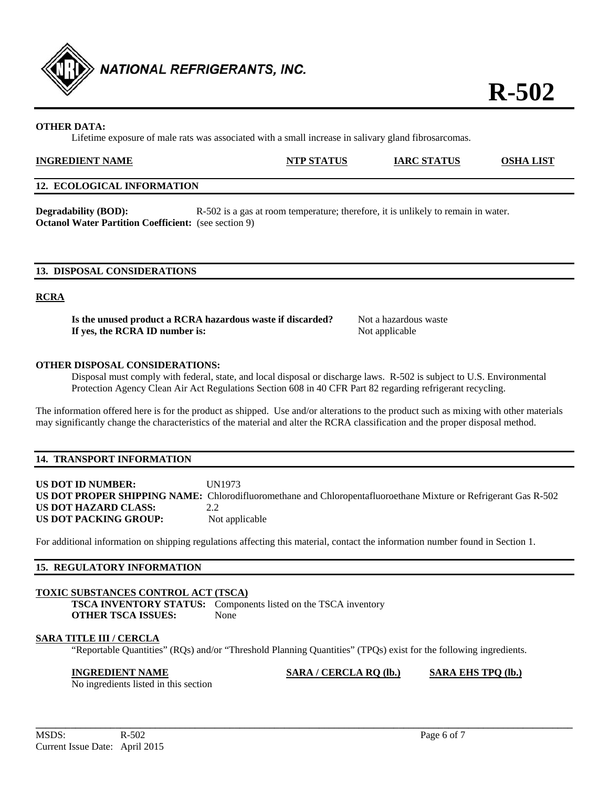

## **OTHER DATA:**

Lifetime exposure of male rats was associated with a small increase in salivary gland fibrosarcomas.

| <b>INGREDIENT NAME</b> | <b>NTP STATUS</b> | <b>IARC STATUS</b> | <b>LIST</b><br>OSHA |
|------------------------|-------------------|--------------------|---------------------|
|                        |                   |                    |                     |

#### **12. ECOLOGICAL INFORMATION**

**Degradability (BOD):** R-502 is a gas at room temperature; therefore, it is unlikely to remain in water. **Octanol Water Partition Coefficient:** (see section 9)

#### **13. DISPOSAL CONSIDERATIONS**

#### **RCRA**

**Is the unused product a RCRA hazardous waste if discarded?** Not a hazardous waste **If yes, the RCRA ID number is:** Not applicable

#### **OTHER DISPOSAL CONSIDERATIONS:**

 Disposal must comply with federal, state, and local disposal or discharge laws. R-502 is subject to U.S. Environmental Protection Agency Clean Air Act Regulations Section 608 in 40 CFR Part 82 regarding refrigerant recycling.

The information offered here is for the product as shipped. Use and/or alterations to the product such as mixing with other materials may significantly change the characteristics of the material and alter the RCRA classification and the proper disposal method.

#### **14. TRANSPORT INFORMATION**

**US DOT ID NUMBER:** UN1973 **US DOT PROPER SHIPPING NAME:** Chlorodifluoromethane and Chloropentafluoroethane Mixture or Refrigerant Gas R-502 **US DOT HAZARD CLASS:** 2.2 **US DOT PACKING GROUP:** Not applicable

For additional information on shipping regulations affecting this material, contact the information number found in Section 1.

#### **15. REGULATORY INFORMATION**

#### **TOXIC SUBSTANCES CONTROL ACT (TSCA)**

**TSCA INVENTORY STATUS:** Components listed on the TSCA inventory **OTHER TSCA ISSUES:** None

#### **SARA TITLE III / CERCLA**

"Reportable Quantities" (RQs) and/or "Threshold Planning Quantities" (TPQs) exist for the following ingredients.

**\_\_\_\_\_\_\_\_\_\_\_\_\_\_\_\_\_\_\_\_\_\_\_\_\_\_\_\_\_\_\_\_\_\_\_\_\_\_\_\_\_\_\_\_\_\_\_\_\_\_\_\_\_\_\_\_\_\_\_\_\_\_\_\_\_\_\_\_\_\_\_\_\_\_\_\_\_\_\_\_\_\_\_\_\_\_\_\_\_\_\_\_\_\_\_\_\_\_\_\_\_\_\_\_\_\_\_\_** 

**INGREDIENT NAME SARA / CERCLA RQ (lb.) SARA EHS TPQ (lb.)**

No ingredients listed in this section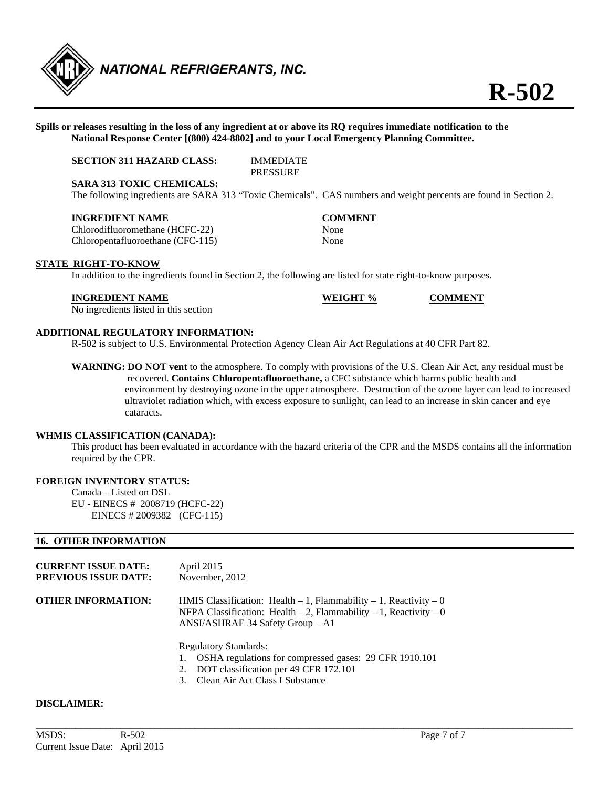

#### **Spills or releases resulting in the loss of any ingredient at or above its RQ requires immediate notification to the National Response Center [(800) 424-8802] and to your Local Emergency Planning Committee.**

#### **SECTION 311 HAZARD CLASS:** IMMEDIATE **PRESSURE**

**SARA 313 TOXIC CHEMICALS:** 

The following ingredients are SARA 313 "Toxic Chemicals". CAS numbers and weight percents are found in Section 2.

#### **INGREDIENT NAME COMMENT**

Chlorodifluoromethane (HCFC-22) None Chloropentafluoroethane (CFC-115) None

In addition to the ingredients found in Section 2, the following are listed for state right-to-know purposes.

#### **INGREDIENT NAME WEIGHT % COMMENT**

**STATE RIGHT-TO-KNOW** 

No ingredients listed in this section

#### **ADDITIONAL REGULATORY INFORMATION:**

R-502 is subject to U.S. Environmental Protection Agency Clean Air Act Regulations at 40 CFR Part 82.

**WARNING: DO NOT vent** to the atmosphere. To comply with provisions of the U.S. Clean Air Act, any residual must be recovered. **Contains Chloropentafluoroethane,** a CFC substance which harms public health and environment by destroying ozone in the upper atmosphere. Destruction of the ozone layer can lead to increased ultraviolet radiation which, with excess exposure to sunlight, can lead to an increase in skin cancer and eye cataracts.

#### **WHMIS CLASSIFICATION (CANADA):**

 This product has been evaluated in accordance with the hazard criteria of the CPR and the MSDS contains all the information required by the CPR.

**\_\_\_\_\_\_\_\_\_\_\_\_\_\_\_\_\_\_\_\_\_\_\_\_\_\_\_\_\_\_\_\_\_\_\_\_\_\_\_\_\_\_\_\_\_\_\_\_\_\_\_\_\_\_\_\_\_\_\_\_\_\_\_\_\_\_\_\_\_\_\_\_\_\_\_\_\_\_\_\_\_\_\_\_\_\_\_\_\_\_\_\_\_\_\_\_\_\_\_\_\_\_\_\_\_\_\_\_** 

#### **FOREIGN INVENTORY STATUS:**

Canada – Listed on DSL EU - EINECS # 2008719 (HCFC-22) EINECS # 2009382 (CFC-115)

#### **16. OTHER INFORMATION**

| <b>CURRENT ISSUE DATE:</b><br><b>PREVIOUS ISSUE DATE:</b> | April 2015<br>November, 2012                                                                                                                                                               |
|-----------------------------------------------------------|--------------------------------------------------------------------------------------------------------------------------------------------------------------------------------------------|
| <b>OTHER INFORMATION:</b>                                 | HMIS Classification: Health $-1$ , Flammability $-1$ , Reactivity $-0$<br>NFPA Classification: Health $-2$ , Flammability $-1$ , Reactivity $-0$<br>ANSI/ASHRAE 34 Safety Group - A1       |
|                                                           | <b>Regulatory Standards:</b><br>1. OSHA regulations for compressed gases: 29 CFR 1910.101<br>2. DOT classification per 49 CFR 172.101<br>Clean Air Act Class I Substance<br>3 <sub>1</sub> |

#### **DISCLAIMER:**